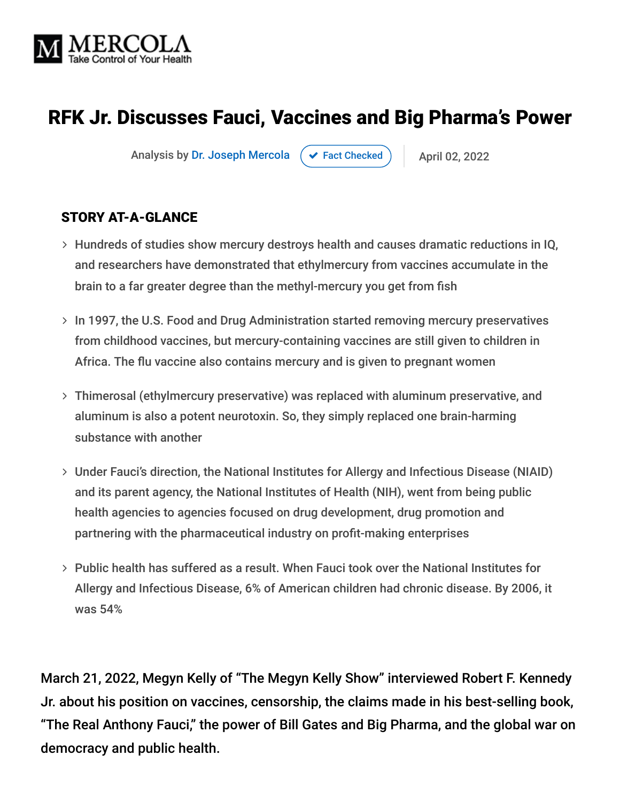

## RFK Jr. Discusses Fauci, Vaccines and Big Pharma's Power

Analysis by [Dr. Joseph Mercola](https://www.mercola.com/forms/background.htm)  $\rightarrow$  [Fact Checked](javascript:void(0))  $\rightarrow$  April 02, 2022

#### STORY AT-A-GLANCE

- Hundreds of studies show mercury destroys health and causes dramatic reductions in IQ, and researchers have demonstrated that ethylmercury from vaccines accumulate in the brain to a far greater degree than the methyl-mercury you get from fish
- > In 1997, the U.S. Food and Drug Administration started removing mercury preservatives from childhood vaccines, but mercury-containing vaccines are still given to children in Africa. The flu vaccine also contains mercury and is given to pregnant women
- Thimerosal (ethylmercury preservative) was replaced with aluminum preservative, and aluminum is also a potent neurotoxin. So, they simply replaced one brain-harming substance with another
- Under Fauci's direction, the National Institutes for Allergy and Infectious Disease (NIAID) and its parent agency, the National Institutes of Health (NIH), went from being public health agencies to agencies focused on drug development, drug promotion and partnering with the pharmaceutical industry on profit-making enterprises
- $>$  Public health has suffered as a result. When Fauci took over the National Institutes for Allergy and Infectious Disease, 6% of American children had chronic disease. By 2006, it was 54%

March 21, 2022, Megyn Kelly of "The Megyn Kelly Show" interviewed Robert F. Kennedy Jr. about his position on vaccines, censorship, the claims made in his best-selling book, "The Real Anthony Fauci," the power of Bill Gates and Big Pharma, and the global war on democracy and public health.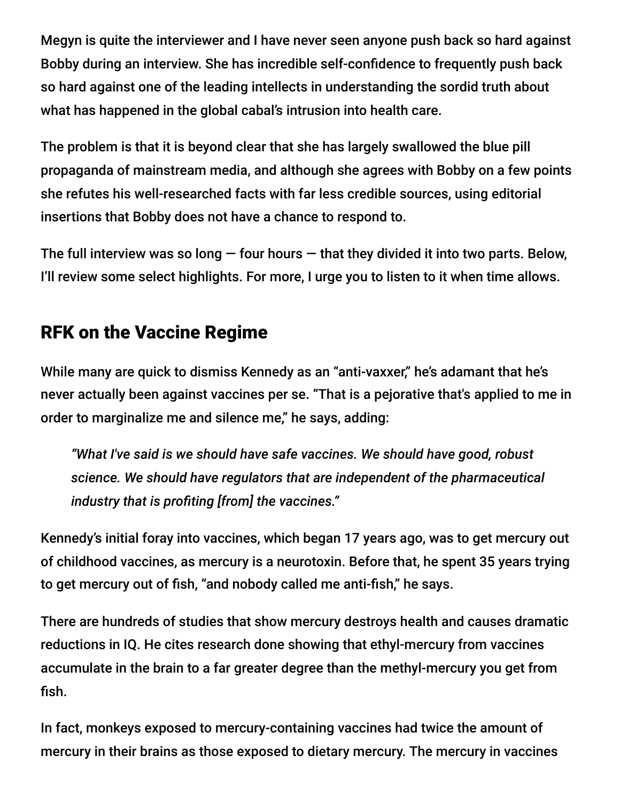Megyn is quite the interviewer and I have never seen anyone push back so hard against Bobby during an interview. She has incredible self-confidence to frequently push back so hard against one of the leading intellects in understanding the sordid truth about what has happened in the global cabal's intrusion into health care.

The problem is that it is beyond clear that she has largely swallowed the blue pill propaganda of mainstream media, and although she agrees with Bobby on a few points she refutes his well-researched facts with far less credible sources, using editorial insertions that Bobby does not have a chance to respond to.

The full interview was so long  $-$  four hours  $-$  that they divided it into two parts. Below, I'll review some select highlights. For more, I urge you to listen to it when time allows.

#### RFK on the Vaccine Regime

While many are quick to dismiss Kennedy as an "anti-vaxxer," he's adamant that he's never actually been against vaccines per se. "That is a pejorative that's applied to me in order to marginalize me and silence me," he says, adding:

*"What I've said is we should have safe vaccines. We should have good, robust science. We should have regulators that are independent of the pharmaceutical industry that is profiting [from] the vaccines."*

Kennedy's initial foray into vaccines, which began 17 years ago, was to get mercury out of childhood vaccines, as mercury is a neurotoxin. Before that, he spent 35 years trying to get mercury out of fish, "and nobody called me anti-fish," he says.

There are hundreds of studies that show mercury destroys health and causes dramatic reductions in IQ. He cites research done showing that ethyl-mercury from vaccines accumulate in the brain to a far greater degree than the methyl-mercury you get from fish.

In fact, monkeys exposed to mercury-containing vaccines had twice the amount of mercury in their brains as those exposed to dietary mercury. The mercury in vaccines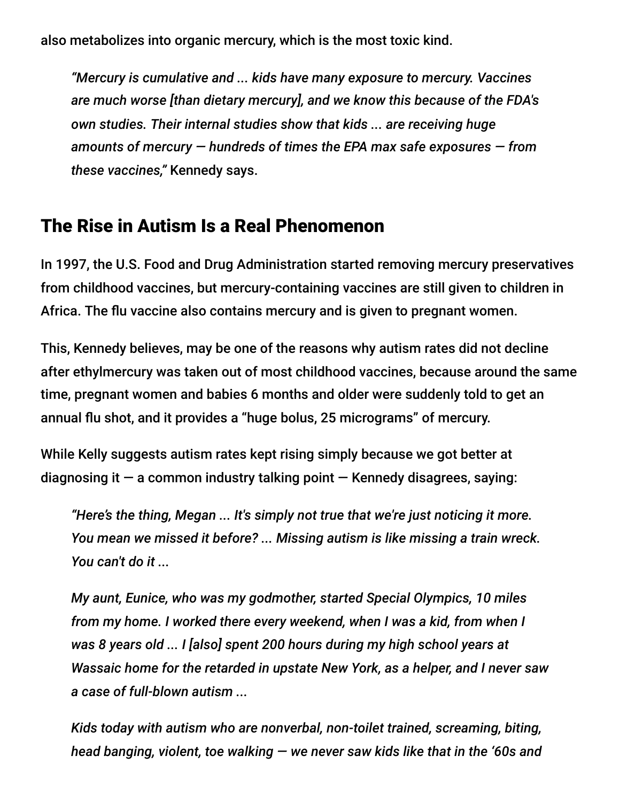also metabolizes into organic mercury, which is the most toxic kind.

*"Mercury is cumulative and ... kids have many exposure to mercury. Vaccines are much worse [than dietary mercury], and we know this because of the FDA's own studies. Their internal studies show that kids ... are receiving huge amounts of mercury — hundreds of times the EPA max safe exposures — from these vaccines,"* Kennedy says.

#### The Rise in Autism Is a Real Phenomenon

In 1997, the U.S. Food and Drug Administration started removing mercury preservatives from childhood vaccines, but mercury-containing vaccines are still given to children in Africa. The flu vaccine also contains mercury and is given to pregnant women.

This, Kennedy believes, may be one of the reasons why autism rates did not decline after ethylmercury was taken out of most childhood vaccines, because around the same time, pregnant women and babies 6 months and older were suddenly told to get an annual flu shot, and it provides a "huge bolus, 25 micrograms" of mercury.

While Kelly suggests autism rates kept rising simply because we got better at diagnosing it  $-$  a common industry talking point  $-$  Kennedy disagrees, saying:

*"Here's the thing, Megan ... It's simply not true that we're just noticing it more. You mean we missed it before? ... Missing autism is like missing a train wreck. You can't do it ...*

*My aunt, Eunice, who was my godmother, started Special Olympics, 10 miles from my home. I worked there every weekend, when I was a kid, from when I was 8 years old ... I [also] spent 200 hours during my high school years at Wassaic home for the retarded in upstate New York, as a helper, and I never saw a case of full-blown autism ...*

*Kids today with autism who are nonverbal, non-toilet trained, screaming, biting, head banging, violent, toe walking — we never saw kids like that in the '60s and*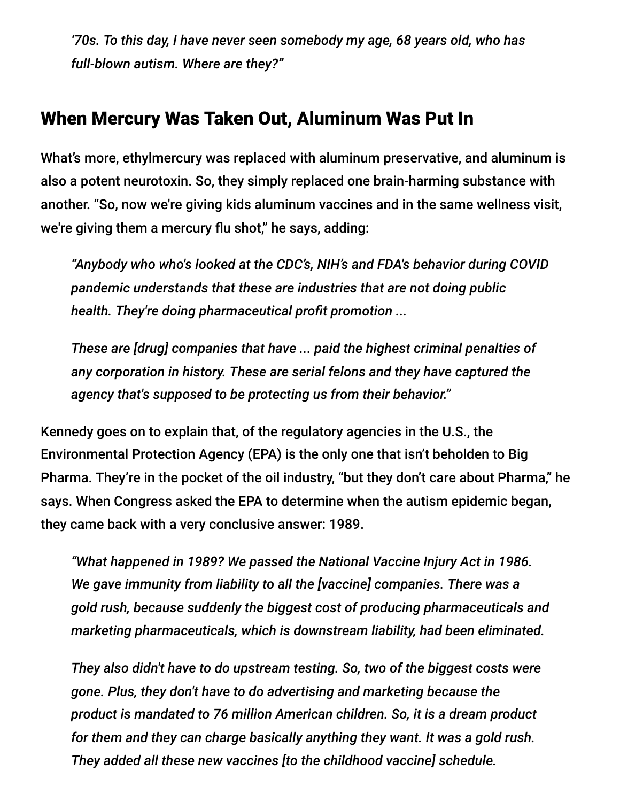*'70s. To this day, I have never seen somebody my age, 68 years old, who has full-blown autism. Where are they?"*

#### When Mercury Was Taken Out, Aluminum Was Put In

What's more, ethylmercury was replaced with aluminum preservative, and aluminum is also a potent neurotoxin. So, they simply replaced one brain-harming substance with another. "So, now we're giving kids aluminum vaccines and in the same wellness visit, we're giving them a mercury flu shot," he says, adding:

*"Anybody who who's looked at the CDC's, NIH's and FDA's behavior during COVID pandemic understands that these are industries that are not doing public health. They're doing pharmaceutical profit promotion ...*

*These are [drug] companies that have ... paid the highest criminal penalties of any corporation in history. These are serial felons and they have captured the agency that's supposed to be protecting us from their behavior."*

Kennedy goes on to explain that, of the regulatory agencies in the U.S., the Environmental Protection Agency (EPA) is the only one that isn't beholden to Big Pharma. They're in the pocket of the oil industry, "but they don't care about Pharma," he says. When Congress asked the EPA to determine when the autism epidemic began, they came back with a very conclusive answer: 1989.

*"What happened in 1989? We passed the National Vaccine Injury Act in 1986. We gave immunity from liability to all the [vaccine] companies. There was a gold rush, because suddenly the biggest cost of producing pharmaceuticals and marketing pharmaceuticals, which is downstream liability, had been eliminated.*

*They also didn't have to do upstream testing. So, two of the biggest costs were gone. Plus, they don't have to do advertising and marketing because the product is mandated to 76 million American children. So, it is a dream product for them and they can charge basically anything they want. It was a gold rush. They added all these new vaccines [to the childhood vaccine] schedule.*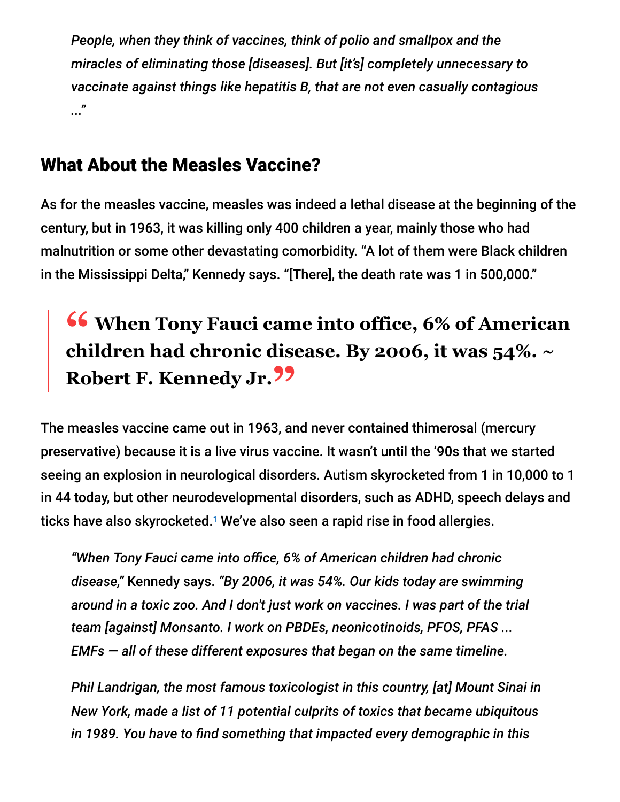*People, when they think of vaccines, think of polio and smallpox and the miracles of eliminating those [diseases]. But [it's] completely unnecessary to vaccinate against things like hepatitis B, that are not even casually contagious ..."*

#### What About the Measles Vaccine?

As for the measles vaccine, measles was indeed a lethal disease at the beginning of the century, but in 1963, it was killing only 400 children a year, mainly those who had malnutrition or some other devastating comorbidity. "A lot of them were Black children in the Mississippi Delta," Kennedy says. "[There], the death rate was 1 in 500,000."

# **<sup>66</sup>** When Tony Fauci came into office, 6% of American<br>
children had chronic disease By 2006 it was 54%  $\approx$ **children had chronic disease. By 2006, it was 54%. ~ Robert F. Kennedy Jr."**

The measles vaccine came out in 1963, and never contained thimerosal (mercury preservative) because it is a live virus vaccine. It wasn't until the '90s that we started seeing an explosion in neurological disorders. Autism skyrocketed from 1 in 10,000 to 1 in 44 today, but other neurodevelopmental disorders, such as ADHD, speech delays and ticks have also skyrocketed. $^{\text{\tiny{\textup{1}}}}$  We've also seen a rapid rise in food allergies.

*"When Tony Fauci came into office, 6% of American children had chronic disease,"* Kennedy says. *"By 2006, it was 54%. Our kids today are swimming around in a toxic zoo. And I don't just work on vaccines. I was part of the trial team [against] Monsanto. I work on PBDEs, neonicotinoids, PFOS, PFAS ... EMFs — all of these different exposures that began on the same timeline.*

*Phil Landrigan, the most famous toxicologist in this country, [at] Mount Sinai in New York, made a list of 11 potential culprits of toxics that became ubiquitous in 1989. You have to find something that impacted every demographic in this*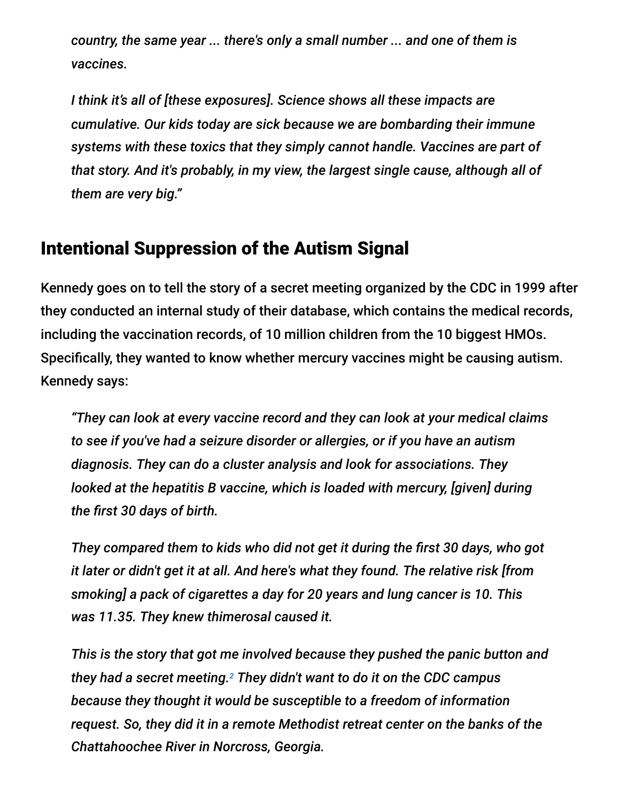*country, the same year ... there's only a small number ... and one of them is vaccines.*

*I think it's all of [these exposures]. Science shows all these impacts are cumulative. Our kids today are sick because we are bombarding their immune systems with these toxics that they simply cannot handle. Vaccines are part of that story. And it's probably, in my view, the largest single cause, although all of them are very big."*

#### Intentional Suppression of the Autism Signal

Kennedy goes on to tell the story of a secret meeting organized by the CDC in 1999 after they conducted an internal study of their database, which contains the medical records, including the vaccination records, of 10 million children from the 10 biggest HMOs. Specifically, they wanted to know whether mercury vaccines might be causing autism. Kennedy says:

*"They can look at every vaccine record and they can look at your medical claims to see if you've had a seizure disorder or allergies, or if you have an autism diagnosis. They can do a cluster analysis and look for associations. They looked at the hepatitis B vaccine, which is loaded with mercury, [given] during the first 30 days of birth.*

*They compared them to kids who did not get it during the first 30 days, who got it later or didn't get it at all. And here's what they found. The relative risk [from smoking] a pack of cigarettes a day for 20 years and lung cancer is 10. This was 11.35. They knew thimerosal caused it.*

*This is the story that got me involved because they pushed the panic button and they had a secret meeting. They didn't want to do it on the CDC campus 2because they thought it would be susceptible to a freedom of information request. So, they did it in a remote Methodist retreat center on the banks of the Chattahoochee River in Norcross, Georgia.*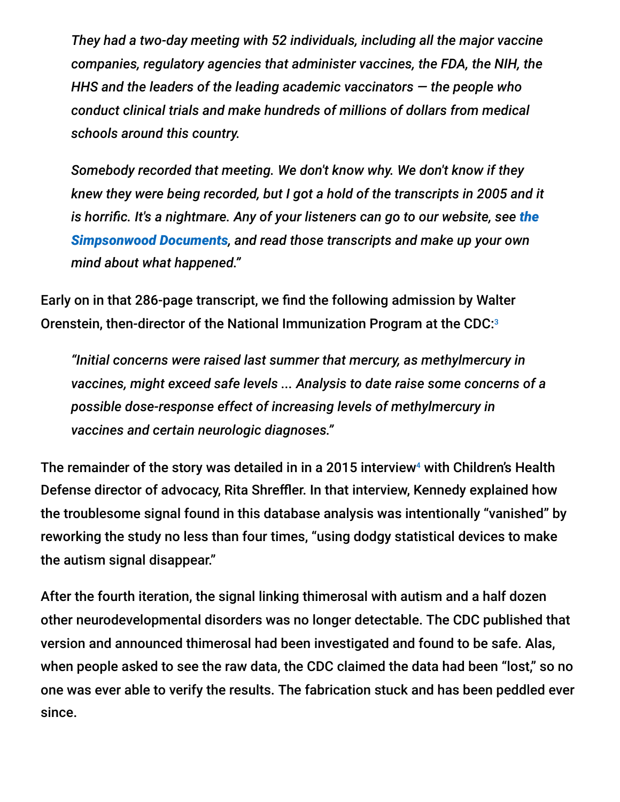*They had a two-day meeting with 52 individuals, including all the major vaccine companies, regulatory agencies that administer vaccines, the FDA, the NIH, the HHS and the leaders of the leading academic vaccinators — the people who conduct clinical trials and make hundreds of millions of dollars from medical schools around this country.*

*Somebody recorded that meeting. We don't know why. We don't know if they knew they were being recorded, but I got a hold of the transcripts in 2005 and it [is horrific. It's a nightmare. Any of your listeners can go to our website, see](https://childrenshealthdefense.org/government/federal-agency-documents/simpsonwood-documents/) the Simpsonwood Documents, and read those transcripts and make up your own mind about what happened."*

Early on in that 286-page transcript, we find the following admission by Walter Orenstein, then-director of the National Immunization Program at the CDC:<sup>3</sup>

*"Initial concerns were raised last summer that mercury, as methylmercury in vaccines, might exceed safe levels ... Analysis to date raise some concerns of a possible dose-response effect of increasing levels of methylmercury in vaccines and certain neurologic diagnoses."*

The remainder of the story was detailed in in a 2015 interview<sup>4</sup> with Children's Health Defense director of advocacy, Rita Shreffler. In that interview, Kennedy explained how the troublesome signal found in this database analysis was intentionally "vanished" by reworking the study no less than four times, "using dodgy statistical devices to make the autism signal disappear."

After the fourth iteration, the signal linking thimerosal with autism and a half dozen other neurodevelopmental disorders was no longer detectable. The CDC published that version and announced thimerosal had been investigated and found to be safe. Alas, when people asked to see the raw data, the CDC claimed the data had been "lost," so no one was ever able to verify the results. The fabrication stuck and has been peddled ever since.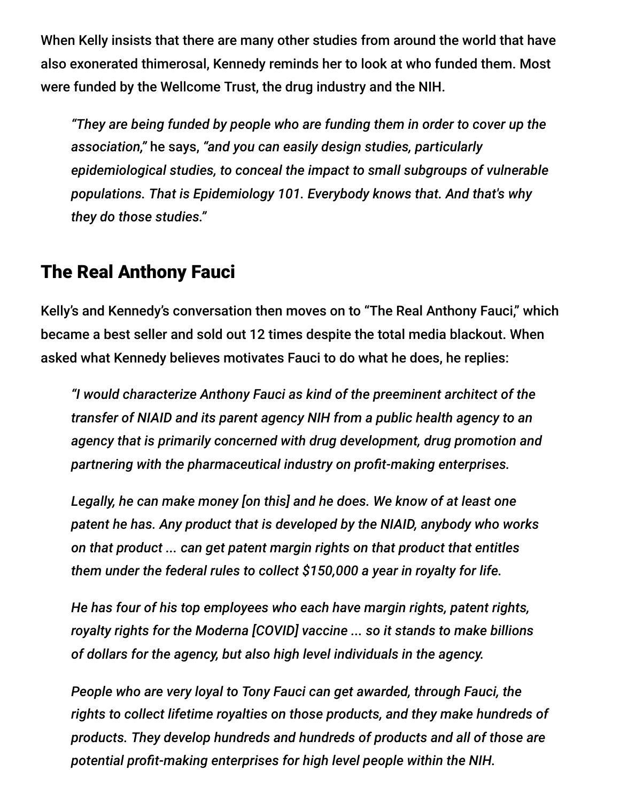When Kelly insists that there are many other studies from around the world that have also exonerated thimerosal, Kennedy reminds her to look at who funded them. Most were funded by the Wellcome Trust, the drug industry and the NIH.

*"They are being funded by people who are funding them in order to cover up the association,"* he says, *"and you can easily design studies, particularly epidemiological studies, to conceal the impact to small subgroups of vulnerable populations. That is Epidemiology 101. Everybody knows that. And that's why they do those studies."*

#### The Real Anthony Fauci

Kelly's and Kennedy's conversation then moves on to "The Real Anthony Fauci," which became a best seller and sold out 12 times despite the total media blackout. When asked what Kennedy believes motivates Fauci to do what he does, he replies:

*"I would characterize Anthony Fauci as kind of the preeminent architect of the transfer of NIAID and its parent agency NIH from a public health agency to an agency that is primarily concerned with drug development, drug promotion and partnering with the pharmaceutical industry on profit-making enterprises.*

*Legally, he can make money [on this] and he does. We know of at least one patent he has. Any product that is developed by the NIAID, anybody who works on that product ... can get patent margin rights on that product that entitles them under the federal rules to collect \$150,000 a year in royalty for life.*

*He has four of his top employees who each have margin rights, patent rights, royalty rights for the Moderna [COVID] vaccine ... so it stands to make billions of dollars for the agency, but also high level individuals in the agency.*

*People who are very loyal to Tony Fauci can get awarded, through Fauci, the rights to collect lifetime royalties on those products, and they make hundreds of products. They develop hundreds and hundreds of products and all of those are potential profit-making enterprises for high level people within the NIH.*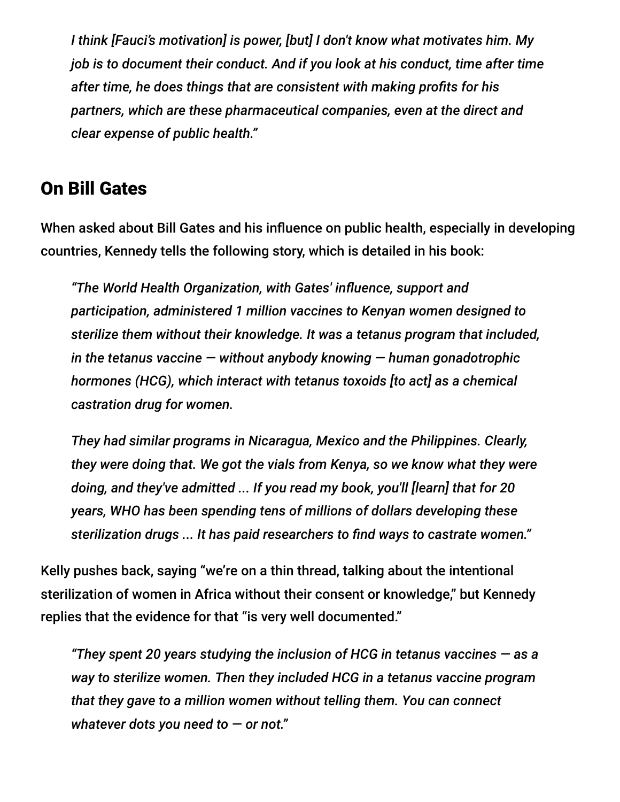*I think [Fauci's motivation] is power, [but] I don't know what motivates him. My job is to document their conduct. And if you look at his conduct, time after time after time, he does things that are consistent with making profits for his partners, which are these pharmaceutical companies, even at the direct and clear expense of public health."*

#### On Bill Gates

When asked about Bill Gates and his influence on public health, especially in developing countries, Kennedy tells the following story, which is detailed in his book:

*"The World Health Organization, with Gates' influence, support and participation, administered 1 million vaccines to Kenyan women designed to sterilize them without their knowledge. It was a tetanus program that included, in the tetanus vaccine — without anybody knowing — human gonadotrophic hormones (HCG), which interact with tetanus toxoids [to act] as a chemical castration drug for women.*

*They had similar programs in Nicaragua, Mexico and the Philippines. Clearly, they were doing that. We got the vials from Kenya, so we know what they were doing, and they've admitted ... If you read my book, you'll [learn] that for 20 years, WHO has been spending tens of millions of dollars developing these sterilization drugs ... It has paid researchers to find ways to castrate women."*

Kelly pushes back, saying "we're on a thin thread, talking about the intentional sterilization of women in Africa without their consent or knowledge," but Kennedy replies that the evidence for that "is very well documented."

*"They spent 20 years studying the inclusion of HCG in tetanus vaccines — as a way to sterilize women. Then they included HCG in a tetanus vaccine program that they gave to a million women without telling them. You can connect whatever dots you need to — or not."*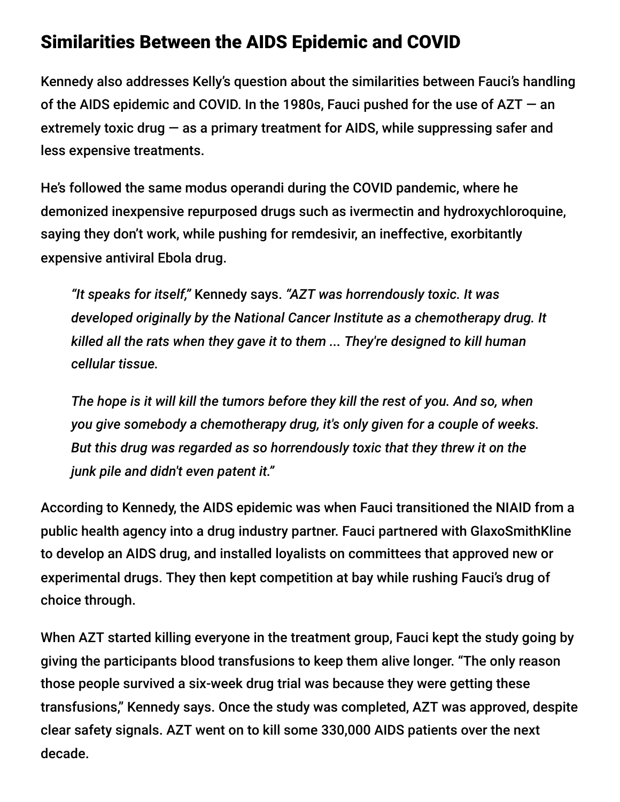#### Similarities Between the AIDS Epidemic and COVID

Kennedy also addresses Kelly's question about the similarities between Fauci's handling of the AIDS epidemic and COVID. In the 1980s, Fauci pushed for the use of AZT — an extremely toxic drug  $-$  as a primary treatment for AIDS, while suppressing safer and less expensive treatments.

He's followed the same modus operandi during the COVID pandemic, where he demonized inexpensive repurposed drugs such as ivermectin and hydroxychloroquine, saying they don't work, while pushing for remdesivir, an ineffective, exorbitantly expensive antiviral Ebola drug.

*"It speaks for itself,"* Kennedy says. *"AZT was horrendously toxic. It was developed originally by the National Cancer Institute as a chemotherapy drug. It killed all the rats when they gave it to them ... They're designed to kill human cellular tissue.*

*The hope is it will kill the tumors before they kill the rest of you. And so, when you give somebody a chemotherapy drug, it's only given for a couple of weeks. But this drug was regarded as so horrendously toxic that they threw it on the junk pile and didn't even patent it."*

According to Kennedy, the AIDS epidemic was when Fauci transitioned the NIAID from a public health agency into a drug industry partner. Fauci partnered with GlaxoSmithKline to develop an AIDS drug, and installed loyalists on committees that approved new or experimental drugs. They then kept competition at bay while rushing Fauci's drug of choice through.

When AZT started killing everyone in the treatment group, Fauci kept the study going by giving the participants blood transfusions to keep them alive longer. "The only reason those people survived a six-week drug trial was because they were getting these transfusions," Kennedy says. Once the study was completed, AZT was approved, despite clear safety signals. AZT went on to kill some 330,000 AIDS patients over the next decade.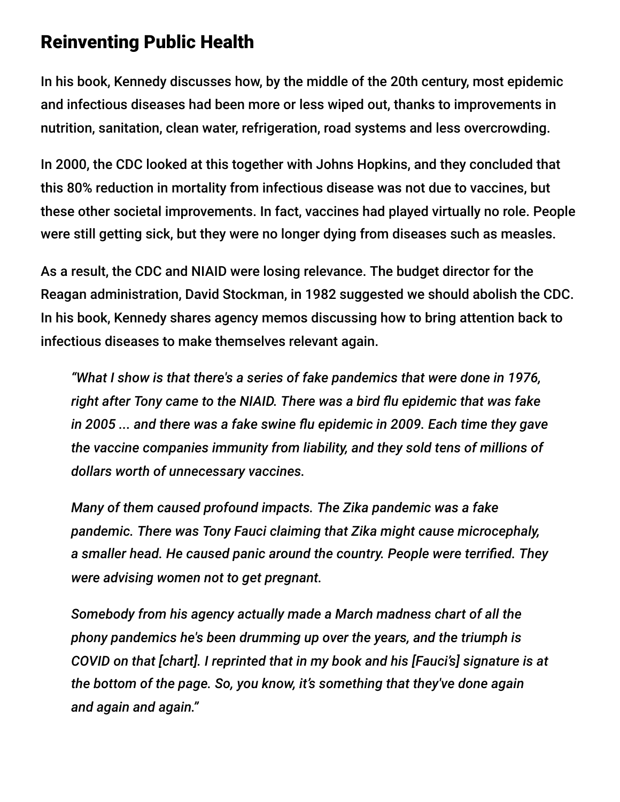#### Reinventing Public Health

In his book, Kennedy discusses how, by the middle of the 20th century, most epidemic and infectious diseases had been more or less wiped out, thanks to improvements in nutrition, sanitation, clean water, refrigeration, road systems and less overcrowding.

In 2000, the CDC looked at this together with Johns Hopkins, and they concluded that this 80% reduction in mortality from infectious disease was not due to vaccines, but these other societal improvements. In fact, vaccines had played virtually no role. People were still getting sick, but they were no longer dying from diseases such as measles.

As a result, the CDC and NIAID were losing relevance. The budget director for the Reagan administration, David Stockman, in 1982 suggested we should abolish the CDC. In his book, Kennedy shares agency memos discussing how to bring attention back to infectious diseases to make themselves relevant again.

*"What I show is that there's a series of fake pandemics that were done in 1976, right after Tony came to the NIAID. There was a bird flu epidemic that was fake in 2005 ... and there was a fake swine flu epidemic in 2009. Each time they gave the vaccine companies immunity from liability, and they sold tens of millions of dollars worth of unnecessary vaccines.*

*Many of them caused profound impacts. The Zika pandemic was a fake pandemic. There was Tony Fauci claiming that Zika might cause microcephaly, a smaller head. He caused panic around the country. People were terrified. They were advising women not to get pregnant.*

*Somebody from his agency actually made a March madness chart of all the phony pandemics he's been drumming up over the years, and the triumph is COVID on that [chart]. I reprinted that in my book and his [Fauci's] signature is at the bottom of the page. So, you know, it's something that they've done again and again and again."*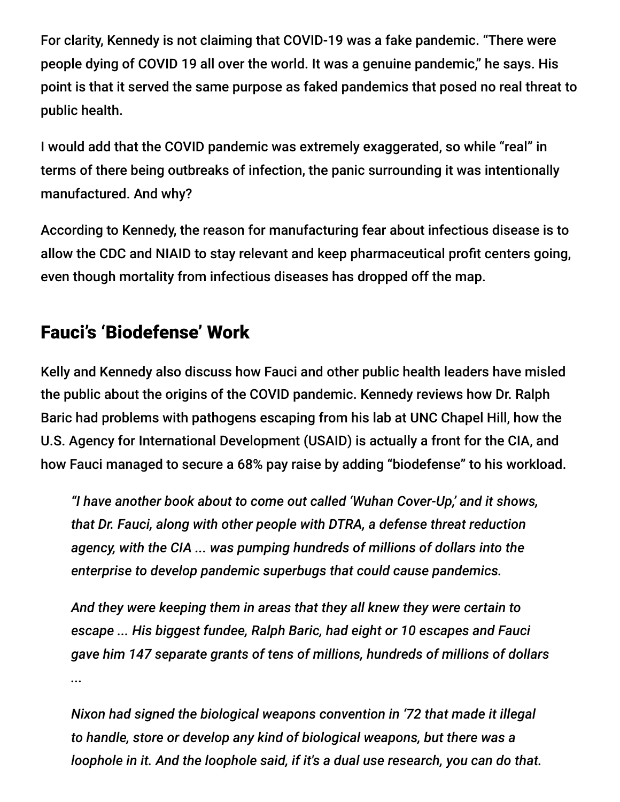For clarity, Kennedy is not claiming that COVID-19 was a fake pandemic. "There were people dying of COVID 19 all over the world. It was a genuine pandemic," he says. His point is that it served the same purpose as faked pandemics that posed no real threat to public health.

I would add that the COVID pandemic was extremely exaggerated, so while "real" in terms of there being outbreaks of infection, the panic surrounding it was intentionally manufactured. And why?

According to Kennedy, the reason for manufacturing fear about infectious disease is to allow the CDC and NIAID to stay relevant and keep pharmaceutical profit centers going, even though mortality from infectious diseases has dropped off the map.

## Fauci's 'Biodefense' Work

Kelly and Kennedy also discuss how Fauci and other public health leaders have misled the public about the origins of the COVID pandemic. Kennedy reviews how Dr. Ralph Baric had problems with pathogens escaping from his lab at UNC Chapel Hill, how the U.S. Agency for International Development (USAID) is actually a front for the CIA, and how Fauci managed to secure a 68% pay raise by adding "biodefense" to his workload.

*"I have another book about to come out called 'Wuhan Cover-Up,' and it shows, that Dr. Fauci, along with other people with DTRA, a defense threat reduction agency, with the CIA ... was pumping hundreds of millions of dollars into the enterprise to develop pandemic superbugs that could cause pandemics.*

*And they were keeping them in areas that they all knew they were certain to escape ... His biggest fundee, Ralph Baric, had eight or 10 escapes and Fauci gave him 147 separate grants of tens of millions, hundreds of millions of dollars ...*

*Nixon had signed the biological weapons convention in '72 that made it illegal to handle, store or develop any kind of biological weapons, but there was a loophole in it. And the loophole said, if it's a dual use research, you can do that.*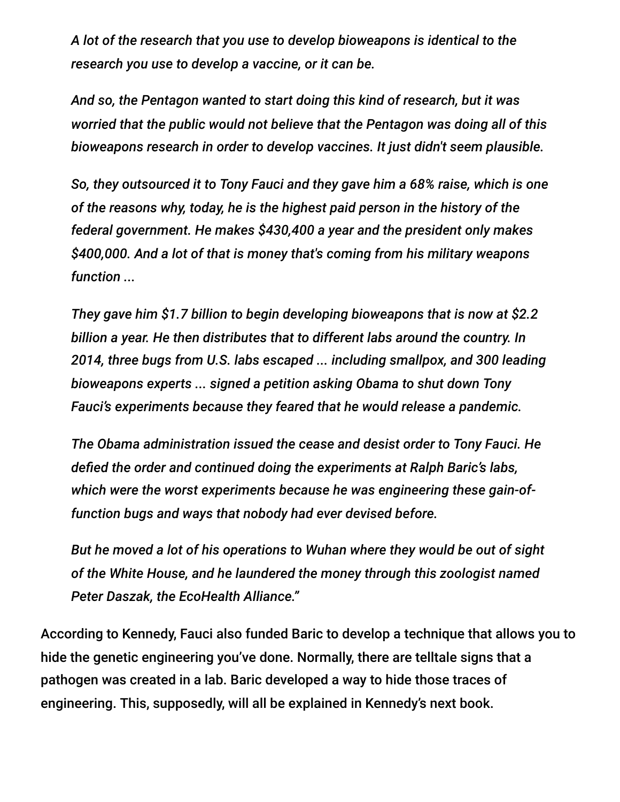*A lot of the research that you use to develop bioweapons is identical to the research you use to develop a vaccine, or it can be.*

*And so, the Pentagon wanted to start doing this kind of research, but it was worried that the public would not believe that the Pentagon was doing all of this bioweapons research in order to develop vaccines. It just didn't seem plausible.*

*So, they outsourced it to Tony Fauci and they gave him a 68% raise, which is one of the reasons why, today, he is the highest paid person in the history of the federal government. He makes \$430,400 a year and the president only makes \$400,000. And a lot of that is money that's coming from his military weapons function ...*

*They gave him \$1.7 billion to begin developing bioweapons that is now at \$2.2 billion a year. He then distributes that to different labs around the country. In 2014, three bugs from U.S. labs escaped ... including smallpox, and 300 leading bioweapons experts ... signed a petition asking Obama to shut down Tony Fauci's experiments because they feared that he would release a pandemic.*

*The Obama administration issued the cease and desist order to Tony Fauci. He defied the order and continued doing the experiments at Ralph Baric's labs, which were the worst experiments because he was engineering these gain-offunction bugs and ways that nobody had ever devised before.*

*But he moved a lot of his operations to Wuhan where they would be out of sight of the White House, and he laundered the money through this zoologist named Peter Daszak, the EcoHealth Alliance."*

According to Kennedy, Fauci also funded Baric to develop a technique that allows you to hide the genetic engineering you've done. Normally, there are telltale signs that a pathogen was created in a lab. Baric developed a way to hide those traces of engineering. This, supposedly, will all be explained in Kennedy's next book.